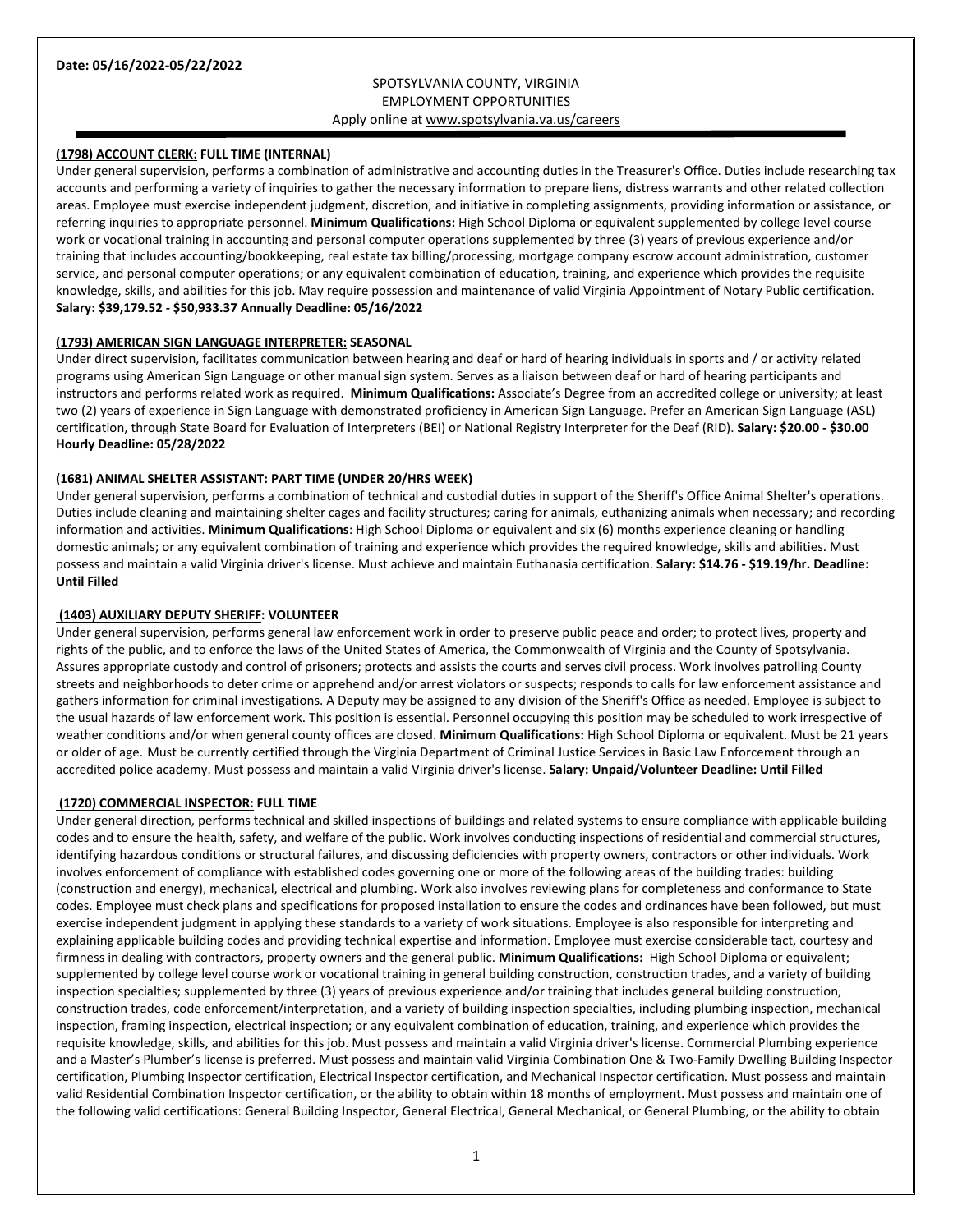# SPOTSYLVANIA COUNTY, VIRGINIA EMPLOYMENT OPPORTUNITIES Apply online a[t www.spotsylvania.va.us/careers](http://www.spotsylvania.va.us/careers)

# **(1798) ACCOUNT CLERK: FULL TIME (INTERNAL)**

Under general supervision, performs a combination of administrative and accounting duties in the Treasurer's Office. Duties include researching tax accounts and performing a variety of inquiries to gather the necessary information to prepare liens, distress warrants and other related collection areas. Employee must exercise independent judgment, discretion, and initiative in completing assignments, providing information or assistance, or referring inquiries to appropriate personnel. **Minimum Qualifications:** High School Diploma or equivalent supplemented by college level course work or vocational training in accounting and personal computer operations supplemented by three (3) years of previous experience and/or training that includes accounting/bookkeeping, real estate tax billing/processing, mortgage company escrow account administration, customer service, and personal computer operations; or any equivalent combination of education, training, and experience which provides the requisite knowledge, skills, and abilities for this job. May require possession and maintenance of valid Virginia Appointment of Notary Public certification. **Salary: \$39,179.52 - \$50,933.37 Annually Deadline: 05/16/2022**

### **(1793) AMERICAN SIGN LANGUAGE INTERPRETER: SEASONAL**

Under direct supervision, facilitates communication between hearing and deaf or hard of hearing individuals in sports and / or activity related programs using American Sign Language or other manual sign system. Serves as a liaison between deaf or hard of hearing participants and instructors and performs related work as required. **Minimum Qualifications:** Associate's Degree from an accredited college or university; at least two (2) years of experience in Sign Language with demonstrated proficiency in American Sign Language. Prefer an American Sign Language (ASL) certification, through State Board for Evaluation of Interpreters (BEI) or National Registry Interpreter for the Deaf (RID). **Salary: \$20.00 - \$30.00 Hourly Deadline: 05/28/2022**

## **(1681) ANIMAL SHELTER ASSISTANT: PART TIME (UNDER 20/HRS WEEK)**

Under general supervision, performs a combination of technical and custodial duties in support of the Sheriff's Office Animal Shelter's operations. Duties include cleaning and maintaining shelter cages and facility structures; caring for animals, euthanizing animals when necessary; and recording information and activities. **Minimum Qualifications**: High School Diploma or equivalent and six (6) months experience cleaning or handling domestic animals; or any equivalent combination of training and experience which provides the required knowledge, skills and abilities. Must possess and maintain a valid Virginia driver's license. Must achieve and maintain Euthanasia certification. **Salary: \$14.76 - \$19.19/hr. Deadline: Until Filled**

### **(1403) AUXILIARY DEPUTY SHERIFF: VOLUNTEER**

Under general supervision, performs general law enforcement work in order to preserve public peace and order; to protect lives, property and rights of the public, and to enforce the laws of the United States of America, the Commonwealth of Virginia and the County of Spotsylvania. Assures appropriate custody and control of prisoners; protects and assists the courts and serves civil process. Work involves patrolling County streets and neighborhoods to deter crime or apprehend and/or arrest violators or suspects; responds to calls for law enforcement assistance and gathers information for criminal investigations. A Deputy may be assigned to any division of the Sheriff's Office as needed. Employee is subject to the usual hazards of law enforcement work. This position is essential. Personnel occupying this position may be scheduled to work irrespective of weather conditions and/or when general county offices are closed. **Minimum Qualifications:** High School Diploma or equivalent. Must be 21 years or older of age. Must be currently certified through the Virginia Department of Criminal Justice Services in Basic Law Enforcement through an accredited police academy. Must possess and maintain a valid Virginia driver's license. **Salary: Unpaid/Volunteer Deadline: Until Filled**

### **(1720) COMMERCIAL INSPECTOR: FULL TIME**

Under general direction, performs technical and skilled inspections of buildings and related systems to ensure compliance with applicable building codes and to ensure the health, safety, and welfare of the public. Work involves conducting inspections of residential and commercial structures, identifying hazardous conditions or structural failures, and discussing deficiencies with property owners, contractors or other individuals. Work involves enforcement of compliance with established codes governing one or more of the following areas of the building trades: building (construction and energy), mechanical, electrical and plumbing. Work also involves reviewing plans for completeness and conformance to State codes. Employee must check plans and specifications for proposed installation to ensure the codes and ordinances have been followed, but must exercise independent judgment in applying these standards to a variety of work situations. Employee is also responsible for interpreting and explaining applicable building codes and providing technical expertise and information. Employee must exercise considerable tact, courtesy and firmness in dealing with contractors, property owners and the general public. **Minimum Qualifications:** High School Diploma or equivalent; supplemented by college level course work or vocational training in general building construction, construction trades, and a variety of building inspection specialties; supplemented by three (3) years of previous experience and/or training that includes general building construction, construction trades, code enforcement/interpretation, and a variety of building inspection specialties, including plumbing inspection, mechanical inspection, framing inspection, electrical inspection; or any equivalent combination of education, training, and experience which provides the requisite knowledge, skills, and abilities for this job. Must possess and maintain a valid Virginia driver's license. Commercial Plumbing experience and a Master's Plumber's license is preferred. Must possess and maintain valid Virginia Combination One & Two-Family Dwelling Building Inspector certification, Plumbing Inspector certification, Electrical Inspector certification, and Mechanical Inspector certification. Must possess and maintain valid Residential Combination Inspector certification, or the ability to obtain within 18 months of employment. Must possess and maintain one of the following valid certifications: General Building Inspector, General Electrical, General Mechanical, or General Plumbing, or the ability to obtain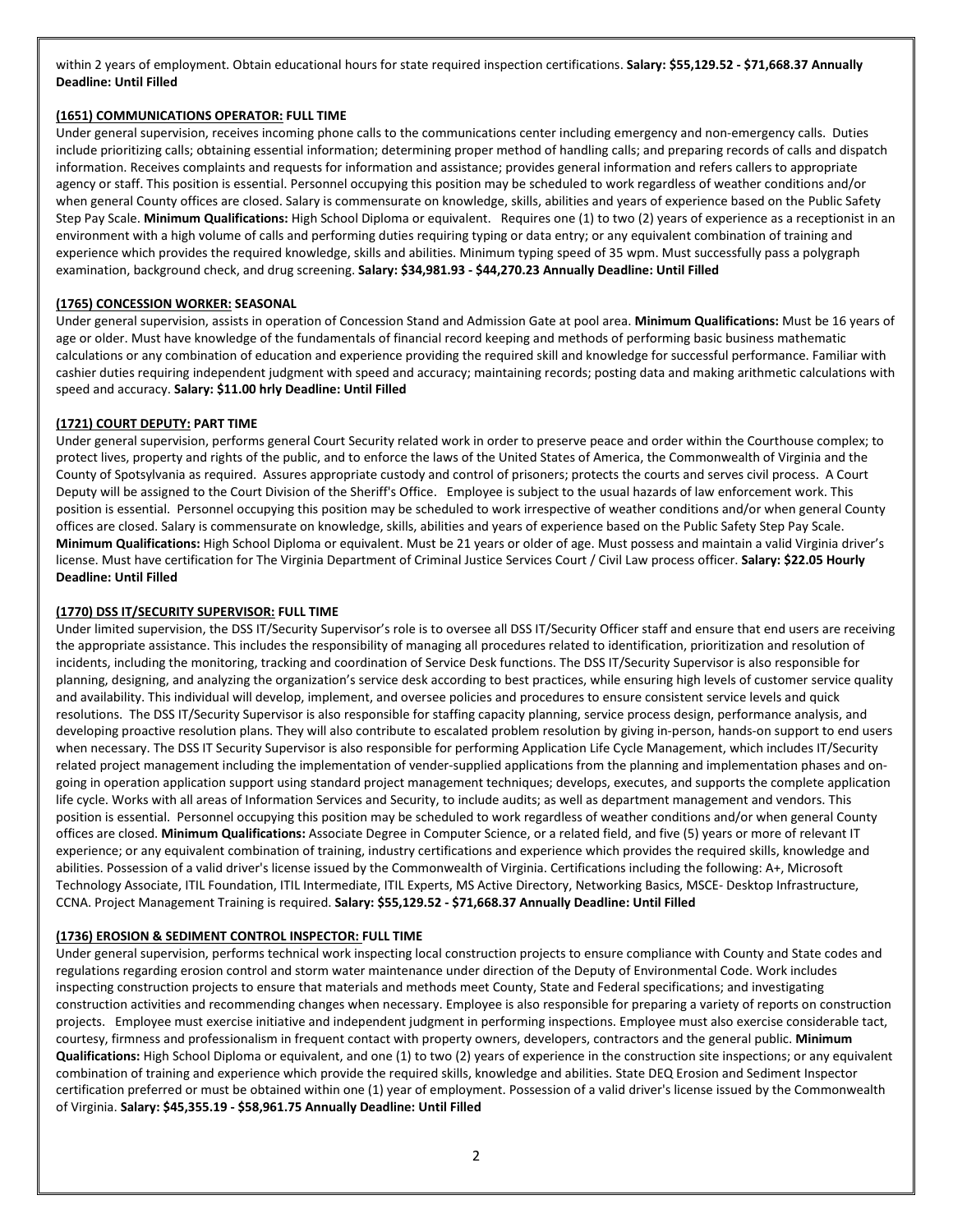within 2 years of employment. Obtain educational hours for state required inspection certifications. **Salary: \$55,129.52 - \$71,668.37 Annually Deadline: Until Filled**

## **(1651) COMMUNICATIONS OPERATOR: FULL TIME**

Under general supervision, receives incoming phone calls to the communications center including emergency and non-emergency calls. Duties include prioritizing calls; obtaining essential information; determining proper method of handling calls; and preparing records of calls and dispatch information. Receives complaints and requests for information and assistance; provides general information and refers callers to appropriate agency or staff. This position is essential. Personnel occupying this position may be scheduled to work regardless of weather conditions and/or when general County offices are closed. Salary is commensurate on knowledge, skills, abilities and years of experience based on the Public Safety Step Pay Scale. **Minimum Qualifications:** High School Diploma or equivalent. Requires one (1) to two (2) years of experience as a receptionist in an environment with a high volume of calls and performing duties requiring typing or data entry; or any equivalent combination of training and experience which provides the required knowledge, skills and abilities. Minimum typing speed of 35 wpm. Must successfully pass a polygraph examination, background check, and drug screening. **Salary: \$34,981.93 - \$44,270.23 Annually Deadline: Until Filled**

## **(1765) CONCESSION WORKER: SEASONAL**

Under general supervision, assists in operation of Concession Stand and Admission Gate at pool area. **Minimum Qualifications:** Must be 16 years of age or older. Must have knowledge of the fundamentals of financial record keeping and methods of performing basic business mathematic calculations or any combination of education and experience providing the required skill and knowledge for successful performance. Familiar with cashier duties requiring independent judgment with speed and accuracy; maintaining records; posting data and making arithmetic calculations with speed and accuracy. **Salary: \$11.00 hrly Deadline: Until Filled**

## **(1721) COURT DEPUTY: PART TIME**

Under general supervision, performs general Court Security related work in order to preserve peace and order within the Courthouse complex; to protect lives, property and rights of the public, and to enforce the laws of the United States of America, the Commonwealth of Virginia and the County of Spotsylvania as required. Assures appropriate custody and control of prisoners; protects the courts and serves civil process. A Court Deputy will be assigned to the Court Division of the Sheriff's Office. Employee is subject to the usual hazards of law enforcement work. This position is essential. Personnel occupying this position may be scheduled to work irrespective of weather conditions and/or when general County offices are closed. Salary is commensurate on knowledge, skills, abilities and years of experience based on the Public Safety Step Pay Scale. **Minimum Qualifications:** High School Diploma or equivalent. Must be 21 years or older of age. Must possess and maintain a valid Virginia driver's license. Must have certification for The Virginia Department of Criminal Justice Services Court / Civil Law process officer. **Salary: \$22.05 Hourly Deadline: Until Filled**

## **(1770) DSS IT/SECURITY SUPERVISOR: FULL TIME**

Under limited supervision, the DSS IT/Security Supervisor's role is to oversee all DSS IT/Security Officer staff and ensure that end users are receiving the appropriate assistance. This includes the responsibility of managing all procedures related to identification, prioritization and resolution of incidents, including the monitoring, tracking and coordination of Service Desk functions. The DSS IT/Security Supervisor is also responsible for planning, designing, and analyzing the organization's service desk according to best practices, while ensuring high levels of customer service quality and availability. This individual will develop, implement, and oversee policies and procedures to ensure consistent service levels and quick resolutions. The DSS IT/Security Supervisor is also responsible for staffing capacity planning, service process design, performance analysis, and developing proactive resolution plans. They will also contribute to escalated problem resolution by giving in-person, hands-on support to end users when necessary. The DSS IT Security Supervisor is also responsible for performing Application Life Cycle Management, which includes IT/Security related project management including the implementation of vender-supplied applications from the planning and implementation phases and ongoing in operation application support using standard project management techniques; develops, executes, and supports the complete application life cycle. Works with all areas of Information Services and Security, to include audits; as well as department management and vendors. This position is essential. Personnel occupying this position may be scheduled to work regardless of weather conditions and/or when general County offices are closed. **Minimum Qualifications:** Associate Degree in Computer Science, or a related field, and five (5) years or more of relevant IT experience; or any equivalent combination of training, industry certifications and experience which provides the required skills, knowledge and abilities. Possession of a valid driver's license issued by the Commonwealth of Virginia. Certifications including the following: A+, Microsoft Technology Associate, ITIL Foundation, ITIL Intermediate, ITIL Experts, MS Active Directory, Networking Basics, MSCE- Desktop Infrastructure, CCNA. Project Management Training is required. **Salary: \$55,129.52 - \$71,668.37 Annually Deadline: Until Filled**

## **(1736) EROSION & SEDIMENT CONTROL INSPECTOR: FULL TIME**

Under general supervision, performs technical work inspecting local construction projects to ensure compliance with County and State codes and regulations regarding erosion control and storm water maintenance under direction of the Deputy of Environmental Code. Work includes inspecting construction projects to ensure that materials and methods meet County, State and Federal specifications; and investigating construction activities and recommending changes when necessary. Employee is also responsible for preparing a variety of reports on construction projects. Employee must exercise initiative and independent judgment in performing inspections. Employee must also exercise considerable tact, courtesy, firmness and professionalism in frequent contact with property owners, developers, contractors and the general public. **Minimum Qualifications:** High School Diploma or equivalent, and one (1) to two (2) years of experience in the construction site inspections; or any equivalent combination of training and experience which provide the required skills, knowledge and abilities. State DEQ Erosion and Sediment Inspector certification preferred or must be obtained within one (1) year of employment. Possession of a valid driver's license issued by the Commonwealth of Virginia. **Salary: \$45,355.19 - \$58,961.75 Annually Deadline: Until Filled**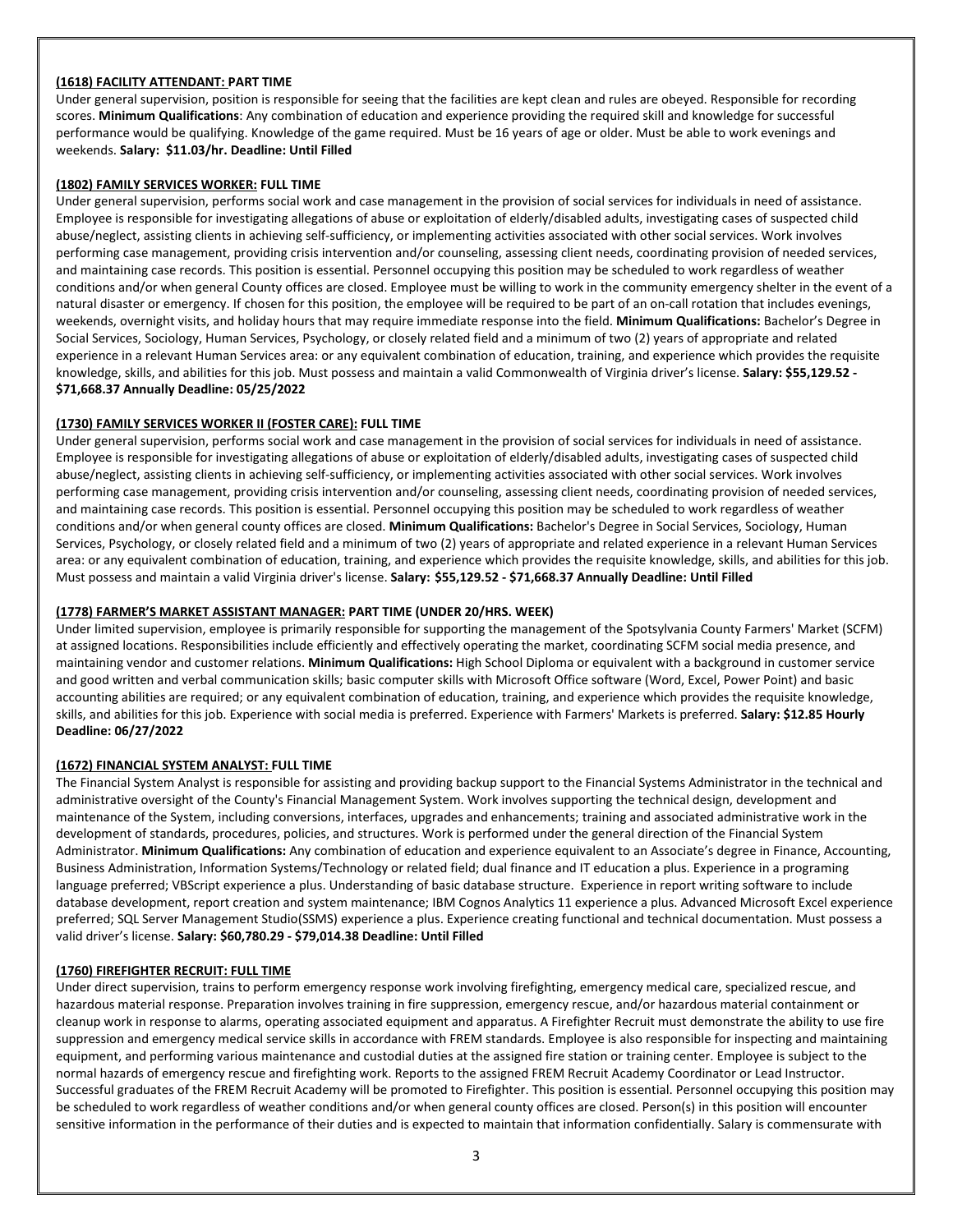## **(1618) FACILITY ATTENDANT: PART TIME**

Under general supervision, position is responsible for seeing that the facilities are kept clean and rules are obeyed. Responsible for recording scores. **Minimum Qualifications**: Any combination of education and experience providing the required skill and knowledge for successful performance would be qualifying. Knowledge of the game required. Must be 16 years of age or older. Must be able to work evenings and weekends. **Salary: \$11.03/hr. Deadline: Until Filled**

## **(1802) FAMILY SERVICES WORKER: FULL TIME**

Under general supervision, performs social work and case management in the provision of social services for individuals in need of assistance. Employee is responsible for investigating allegations of abuse or exploitation of elderly/disabled adults, investigating cases of suspected child abuse/neglect, assisting clients in achieving self-sufficiency, or implementing activities associated with other social services. Work involves performing case management, providing crisis intervention and/or counseling, assessing client needs, coordinating provision of needed services, and maintaining case records. This position is essential. Personnel occupying this position may be scheduled to work regardless of weather conditions and/or when general County offices are closed. Employee must be willing to work in the community emergency shelter in the event of a natural disaster or emergency. If chosen for this position, the employee will be required to be part of an on-call rotation that includes evenings, weekends, overnight visits, and holiday hours that may require immediate response into the field. **Minimum Qualifications:** Bachelor's Degree in Social Services, Sociology, Human Services, Psychology, or closely related field and a minimum of two (2) years of appropriate and related experience in a relevant Human Services area: or any equivalent combination of education, training, and experience which provides the requisite knowledge, skills, and abilities for this job. Must possess and maintain a valid Commonwealth of Virginia driver's license. **Salary: \$55,129.52 - \$71,668.37 Annually Deadline: 05/25/2022**

# **(1730) FAMILY SERVICES WORKER II (FOSTER CARE): FULL TIME**

Under general supervision, performs social work and case management in the provision of social services for individuals in need of assistance. Employee is responsible for investigating allegations of abuse or exploitation of elderly/disabled adults, investigating cases of suspected child abuse/neglect, assisting clients in achieving self-sufficiency, or implementing activities associated with other social services. Work involves performing case management, providing crisis intervention and/or counseling, assessing client needs, coordinating provision of needed services, and maintaining case records. This position is essential. Personnel occupying this position may be scheduled to work regardless of weather conditions and/or when general county offices are closed. **Minimum Qualifications:** Bachelor's Degree in Social Services, Sociology, Human Services, Psychology, or closely related field and a minimum of two (2) years of appropriate and related experience in a relevant Human Services area: or any equivalent combination of education, training, and experience which provides the requisite knowledge, skills, and abilities for this job. Must possess and maintain a valid Virginia driver's license. **Salary: \$55,129.52 - \$71,668.37 Annually Deadline: Until Filled**

# **(1778) FARMER'S MARKET ASSISTANT MANAGER: PART TIME (UNDER 20/HRS. WEEK)**

Under limited supervision, employee is primarily responsible for supporting the management of the Spotsylvania County Farmers' Market (SCFM) at assigned locations. Responsibilities include efficiently and effectively operating the market, coordinating SCFM social media presence, and maintaining vendor and customer relations. **Minimum Qualifications:** High School Diploma or equivalent with a background in customer service and good written and verbal communication skills; basic computer skills with Microsoft Office software (Word, Excel, Power Point) and basic accounting abilities are required; or any equivalent combination of education, training, and experience which provides the requisite knowledge, skills, and abilities for this job. Experience with social media is preferred. Experience with Farmers' Markets is preferred. **Salary: \$12.85 Hourly Deadline: 06/27/2022**

## **(1672) FINANCIAL SYSTEM ANALYST: FULL TIME**

The Financial System Analyst is responsible for assisting and providing backup support to the Financial Systems Administrator in the technical and administrative oversight of the County's Financial Management System. Work involves supporting the technical design, development and maintenance of the System, including conversions, interfaces, upgrades and enhancements; training and associated administrative work in the development of standards, procedures, policies, and structures. Work is performed under the general direction of the Financial System Administrator. **Minimum Qualifications:** Any combination of education and experience equivalent to an Associate's degree in Finance, Accounting, Business Administration, Information Systems/Technology or related field; dual finance and IT education a plus. Experience in a programing language preferred; VBScript experience a plus. Understanding of basic database structure. Experience in report writing software to include database development, report creation and system maintenance; IBM Cognos Analytics 11 experience a plus. Advanced Microsoft Excel experience preferred; SQL Server Management Studio(SSMS) experience a plus. Experience creating functional and technical documentation. Must possess a valid driver's license. **Salary: \$60,780.29 - \$79,014.38 Deadline: Until Filled**

# **(1760) FIREFIGHTER RECRUIT: FULL TIME**

Under direct supervision, trains to perform emergency response work involving firefighting, emergency medical care, specialized rescue, and hazardous material response. Preparation involves training in fire suppression, emergency rescue, and/or hazardous material containment or cleanup work in response to alarms, operating associated equipment and apparatus. A Firefighter Recruit must demonstrate the ability to use fire suppression and emergency medical service skills in accordance with FREM standards. Employee is also responsible for inspecting and maintaining equipment, and performing various maintenance and custodial duties at the assigned fire station or training center. Employee is subject to the normal hazards of emergency rescue and firefighting work. Reports to the assigned FREM Recruit Academy Coordinator or Lead Instructor. Successful graduates of the FREM Recruit Academy will be promoted to Firefighter. This position is essential. Personnel occupying this position may be scheduled to work regardless of weather conditions and/or when general county offices are closed. Person(s) in this position will encounter sensitive information in the performance of their duties and is expected to maintain that information confidentially. Salary is commensurate with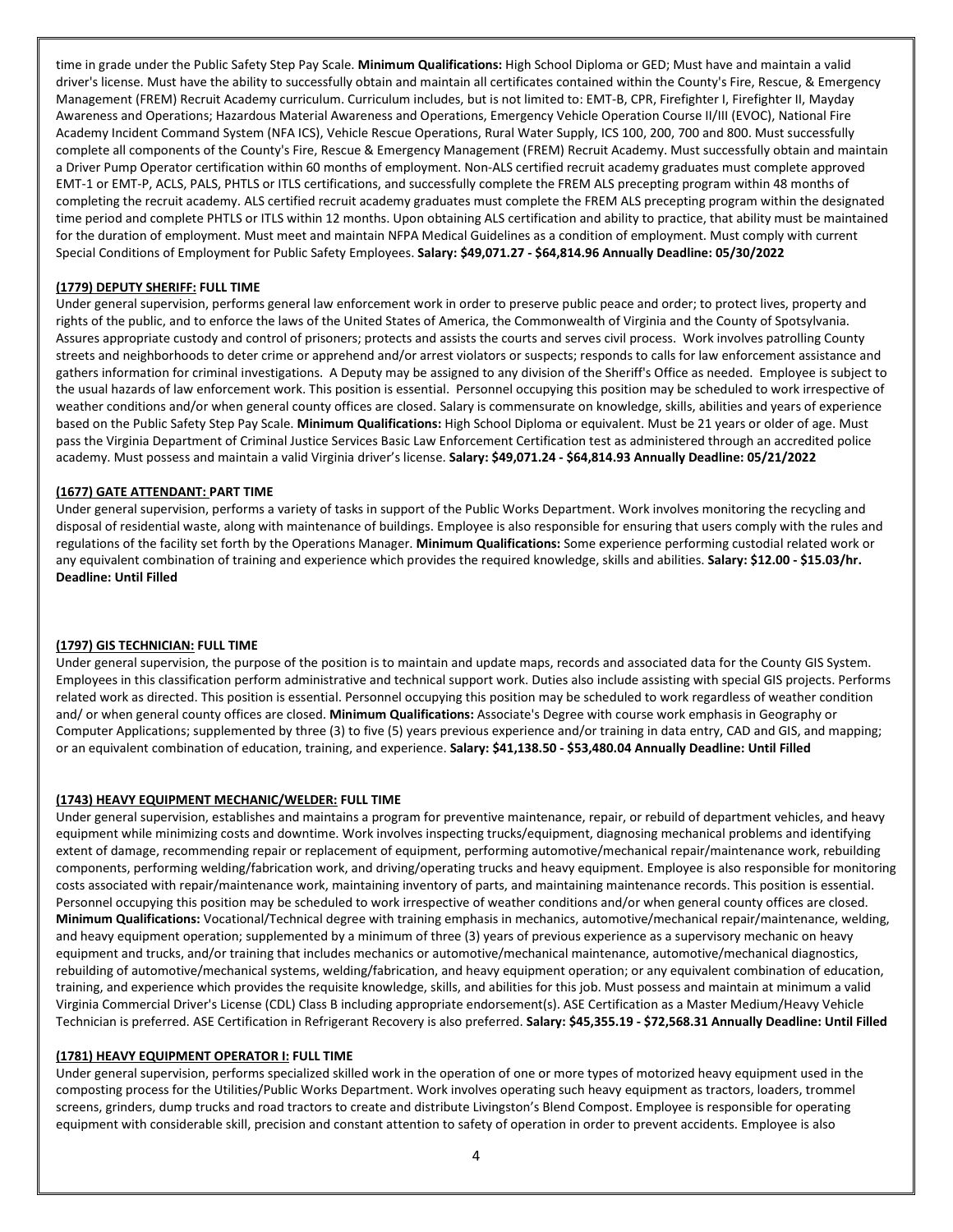time in grade under the Public Safety Step Pay Scale. **Minimum Qualifications:** High School Diploma or GED; Must have and maintain a valid driver's license. Must have the ability to successfully obtain and maintain all certificates contained within the County's Fire, Rescue, & Emergency Management (FREM) Recruit Academy curriculum. Curriculum includes, but is not limited to: EMT-B, CPR, Firefighter I, Firefighter II, Mayday Awareness and Operations; Hazardous Material Awareness and Operations, Emergency Vehicle Operation Course II/III (EVOC), National Fire Academy Incident Command System (NFA ICS), Vehicle Rescue Operations, Rural Water Supply, ICS 100, 200, 700 and 800. Must successfully complete all components of the County's Fire, Rescue & Emergency Management (FREM) Recruit Academy. Must successfully obtain and maintain a Driver Pump Operator certification within 60 months of employment. Non-ALS certified recruit academy graduates must complete approved EMT-1 or EMT-P, ACLS, PALS, PHTLS or ITLS certifications, and successfully complete the FREM ALS precepting program within 48 months of completing the recruit academy. ALS certified recruit academy graduates must complete the FREM ALS precepting program within the designated time period and complete PHTLS or ITLS within 12 months. Upon obtaining ALS certification and ability to practice, that ability must be maintained for the duration of employment. Must meet and maintain NFPA Medical Guidelines as a condition of employment. Must comply with current Special Conditions of Employment for Public Safety Employees. **Salary: \$49,071.27 - \$64,814.96 Annually Deadline: 05/30/2022**

## **(1779) DEPUTY SHERIFF: FULL TIME**

Under general supervision, performs general law enforcement work in order to preserve public peace and order; to protect lives, property and rights of the public, and to enforce the laws of the United States of America, the Commonwealth of Virginia and the County of Spotsylvania. Assures appropriate custody and control of prisoners; protects and assists the courts and serves civil process. Work involves patrolling County streets and neighborhoods to deter crime or apprehend and/or arrest violators or suspects; responds to calls for law enforcement assistance and gathers information for criminal investigations. A Deputy may be assigned to any division of the Sheriff's Office as needed. Employee is subject to the usual hazards of law enforcement work. This position is essential. Personnel occupying this position may be scheduled to work irrespective of weather conditions and/or when general county offices are closed. Salary is commensurate on knowledge, skills, abilities and years of experience based on the Public Safety Step Pay Scale. **Minimum Qualifications:** High School Diploma or equivalent. Must be 21 years or older of age. Must pass the Virginia Department of Criminal Justice Services Basic Law Enforcement Certification test as administered through an accredited police academy. Must possess and maintain a valid Virginia driver's license. **Salary: \$49,071.24 - \$64,814.93 Annually Deadline: 05/21/2022**

### **(1677) GATE ATTENDANT: PART TIME**

Under general supervision, performs a variety of tasks in support of the Public Works Department. Work involves monitoring the recycling and disposal of residential waste, along with maintenance of buildings. Employee is also responsible for ensuring that users comply with the rules and regulations of the facility set forth by the Operations Manager. **Minimum Qualifications:** Some experience performing custodial related work or any equivalent combination of training and experience which provides the required knowledge, skills and abilities. **Salary: \$12.00 - \$15.03/hr. Deadline: Until Filled**

### **(1797) GIS TECHNICIAN: FULL TIME**

Under general supervision, the purpose of the position is to maintain and update maps, records and associated data for the County GIS System. Employees in this classification perform administrative and technical support work. Duties also include assisting with special GIS projects. Performs related work as directed. This position is essential. Personnel occupying this position may be scheduled to work regardless of weather condition and/ or when general county offices are closed. **Minimum Qualifications:** Associate's Degree with course work emphasis in Geography or Computer Applications; supplemented by three (3) to five (5) years previous experience and/or training in data entry, CAD and GIS, and mapping; or an equivalent combination of education, training, and experience. **Salary: \$41,138.50 - \$53,480.04 Annually Deadline: Until Filled**

### **(1743) HEAVY EQUIPMENT MECHANIC/WELDER: FULL TIME**

Under general supervision, establishes and maintains a program for preventive maintenance, repair, or rebuild of department vehicles, and heavy equipment while minimizing costs and downtime. Work involves inspecting trucks/equipment, diagnosing mechanical problems and identifying extent of damage, recommending repair or replacement of equipment, performing automotive/mechanical repair/maintenance work, rebuilding components, performing welding/fabrication work, and driving/operating trucks and heavy equipment. Employee is also responsible for monitoring costs associated with repair/maintenance work, maintaining inventory of parts, and maintaining maintenance records. This position is essential. Personnel occupying this position may be scheduled to work irrespective of weather conditions and/or when general county offices are closed. **Minimum Qualifications:** Vocational/Technical degree with training emphasis in mechanics, automotive/mechanical repair/maintenance, welding, and heavy equipment operation; supplemented by a minimum of three (3) years of previous experience as a supervisory mechanic on heavy equipment and trucks, and/or training that includes mechanics or automotive/mechanical maintenance, automotive/mechanical diagnostics, rebuilding of automotive/mechanical systems, welding/fabrication, and heavy equipment operation; or any equivalent combination of education, training, and experience which provides the requisite knowledge, skills, and abilities for this job. Must possess and maintain at minimum a valid Virginia Commercial Driver's License (CDL) Class B including appropriate endorsement(s). ASE Certification as a Master Medium/Heavy Vehicle Technician is preferred. ASE Certification in Refrigerant Recovery is also preferred. **Salary: \$45,355.19 - \$72,568.31 Annually Deadline: Until Filled**

#### **(1781) HEAVY EQUIPMENT OPERATOR I: FULL TIME**

Under general supervision, performs specialized skilled work in the operation of one or more types of motorized heavy equipment used in the composting process for the Utilities/Public Works Department. Work involves operating such heavy equipment as tractors, loaders, trommel screens, grinders, dump trucks and road tractors to create and distribute Livingston's Blend Compost. Employee is responsible for operating equipment with considerable skill, precision and constant attention to safety of operation in order to prevent accidents. Employee is also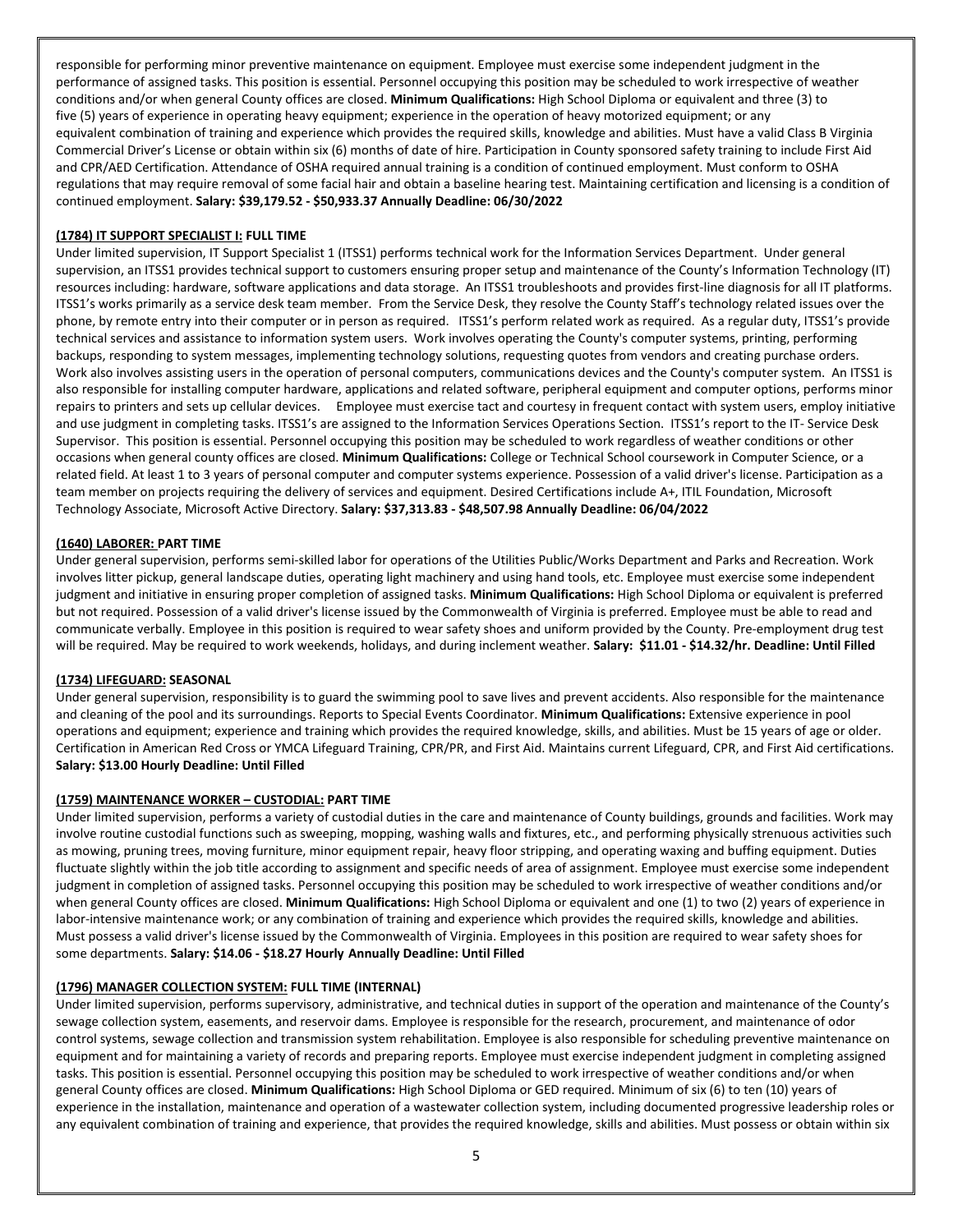responsible for performing minor preventive maintenance on equipment. Employee must exercise some independent judgment in the performance of assigned tasks. This position is essential. Personnel occupying this position may be scheduled to work irrespective of weather conditions and/or when general County offices are closed. **Minimum Qualifications:** High School Diploma or equivalent and three (3) to five (5) years of experience in operating heavy equipment; experience in the operation of heavy motorized equipment; or any equivalent combination of training and experience which provides the required skills, knowledge and abilities. Must have a valid Class B Virginia Commercial Driver's License or obtain within six (6) months of date of hire. Participation in County sponsored safety training to include First Aid and CPR/AED Certification. Attendance of OSHA required annual training is a condition of continued employment. Must conform to OSHA regulations that may require removal of some facial hair and obtain a baseline hearing test. Maintaining certification and licensing is a condition of continued employment. **Salary: \$39,179.52 - \$50,933.37 Annually Deadline: 06/30/2022**

## **(1784) IT SUPPORT SPECIALIST I: FULL TIME**

Under limited supervision, IT Support Specialist 1 (ITSS1) performs technical work for the Information Services Department. Under general supervision, an ITSS1 provides technical support to customers ensuring proper setup and maintenance of the County's Information Technology (IT) resources including: hardware, software applications and data storage. An ITSS1 troubleshoots and provides first-line diagnosis for all IT platforms. ITSS1's works primarily as a service desk team member. From the Service Desk, they resolve the County Staff's technology related issues over the phone, by remote entry into their computer or in person as required. ITSS1's perform related work as required. As a regular duty, ITSS1's provide technical services and assistance to information system users. Work involves operating the County's computer systems, printing, performing backups, responding to system messages, implementing technology solutions, requesting quotes from vendors and creating purchase orders. Work also involves assisting users in the operation of personal computers, communications devices and the County's computer system. An ITSS1 is also responsible for installing computer hardware, applications and related software, peripheral equipment and computer options, performs minor repairs to printers and sets up cellular devices. Employee must exercise tact and courtesy in frequent contact with system users, employ initiative and use judgment in completing tasks. ITSS1's are assigned to the Information Services Operations Section. ITSS1's report to the IT- Service Desk Supervisor. This position is essential. Personnel occupying this position may be scheduled to work regardless of weather conditions or other occasions when general county offices are closed. **Minimum Qualifications:** College or Technical School coursework in Computer Science, or a related field. At least 1 to 3 years of personal computer and computer systems experience. Possession of a valid driver's license. Participation as a team member on projects requiring the delivery of services and equipment. Desired Certifications include A+, ITIL Foundation, Microsoft Technology Associate, Microsoft Active Directory. **Salary: \$37,313.83 - \$48,507.98 Annually Deadline: 06/04/2022**

## **(1640) LABORER: PART TIME**

Under general supervision, performs semi-skilled labor for operations of the Utilities Public/Works Department and Parks and Recreation. Work involves litter pickup, general landscape duties, operating light machinery and using hand tools, etc. Employee must exercise some independent judgment and initiative in ensuring proper completion of assigned tasks. **Minimum Qualifications:** High School Diploma or equivalent is preferred but not required. Possession of a valid driver's license issued by the Commonwealth of Virginia is preferred. Employee must be able to read and communicate verbally. Employee in this position is required to wear safety shoes and uniform provided by the County. Pre-employment drug test will be required. May be required to work weekends, holidays, and during inclement weather. **Salary: \$11.01 - \$14.32/hr. Deadline: Until Filled**

### **(1734) LIFEGUARD: SEASONAL**

Under general supervision, responsibility is to guard the swimming pool to save lives and prevent accidents. Also responsible for the maintenance and cleaning of the pool and its surroundings. Reports to Special Events Coordinator. **Minimum Qualifications:** Extensive experience in pool operations and equipment; experience and training which provides the required knowledge, skills, and abilities. Must be 15 years of age or older. Certification in American Red Cross or YMCA Lifeguard Training, CPR/PR, and First Aid. Maintains current Lifeguard, CPR, and First Aid certifications. **Salary: \$13.00 Hourly Deadline: Until Filled**

### **(1759) MAINTENANCE WORKER – CUSTODIAL: PART TIME**

Under limited supervision, performs a variety of custodial duties in the care and maintenance of County buildings, grounds and facilities. Work may involve routine custodial functions such as sweeping, mopping, washing walls and fixtures, etc., and performing physically strenuous activities such as mowing, pruning trees, moving furniture, minor equipment repair, heavy floor stripping, and operating waxing and buffing equipment. Duties fluctuate slightly within the job title according to assignment and specific needs of area of assignment. Employee must exercise some independent judgment in completion of assigned tasks. Personnel occupying this position may be scheduled to work irrespective of weather conditions and/or when general County offices are closed. **Minimum Qualifications:** High School Diploma or equivalent and one (1) to two (2) years of experience in labor-intensive maintenance work; or any combination of training and experience which provides the required skills, knowledge and abilities. Must possess a valid driver's license issued by the Commonwealth of Virginia. Employees in this position are required to wear safety shoes for some departments. **Salary: \$14.06 - \$18.27 Hourly Annually Deadline: Until Filled**

### **(1796) MANAGER COLLECTION SYSTEM: FULL TIME (INTERNAL)**

Under limited supervision, performs supervisory, administrative, and technical duties in support of the operation and maintenance of the County's sewage collection system, easements, and reservoir dams. Employee is responsible for the research, procurement, and maintenance of odor control systems, sewage collection and transmission system rehabilitation. Employee is also responsible for scheduling preventive maintenance on equipment and for maintaining a variety of records and preparing reports. Employee must exercise independent judgment in completing assigned tasks. This position is essential. Personnel occupying this position may be scheduled to work irrespective of weather conditions and/or when general County offices are closed. **Minimum Qualifications:** High School Diploma or GED required. Minimum of six (6) to ten (10) years of experience in the installation, maintenance and operation of a wastewater collection system, including documented progressive leadership roles or any equivalent combination of training and experience, that provides the required knowledge, skills and abilities. Must possess or obtain within six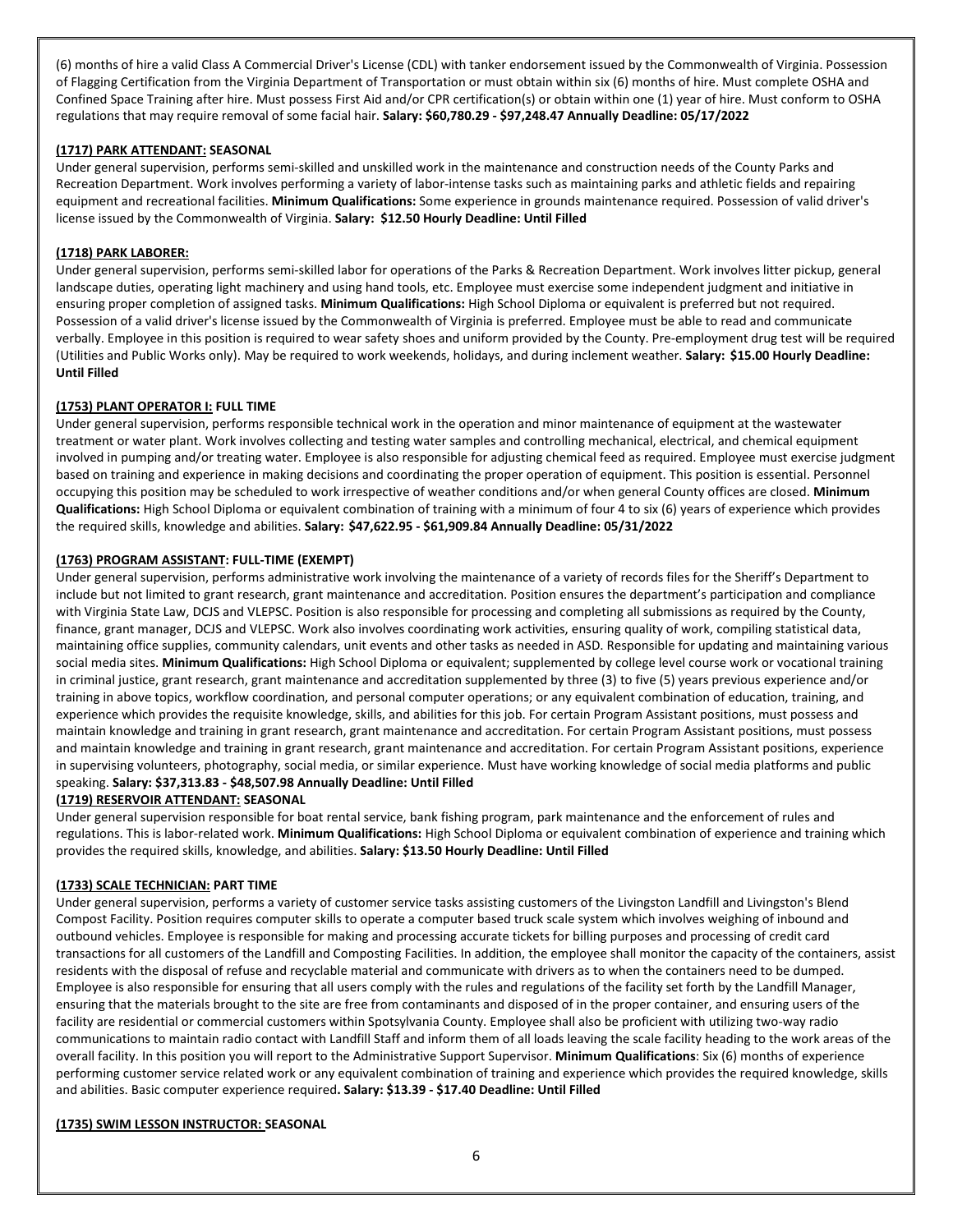(6) months of hire a valid Class A Commercial Driver's License (CDL) with tanker endorsement issued by the Commonwealth of Virginia. Possession of Flagging Certification from the Virginia Department of Transportation or must obtain within six (6) months of hire. Must complete OSHA and Confined Space Training after hire. Must possess First Aid and/or CPR certification(s) or obtain within one (1) year of hire. Must conform to OSHA regulations that may require removal of some facial hair. **Salary: \$60,780.29 - \$97,248.47 Annually Deadline: 05/17/2022**

## **(1717) PARK ATTENDANT: SEASONAL**

Under general supervision, performs semi-skilled and unskilled work in the maintenance and construction needs of the County Parks and Recreation Department. Work involves performing a variety of labor-intense tasks such as maintaining parks and athletic fields and repairing equipment and recreational facilities. **Minimum Qualifications:** Some experience in grounds maintenance required. Possession of valid driver's license issued by the Commonwealth of Virginia. **Salary: \$12.50 Hourly Deadline: Until Filled**

## **(1718) PARK LABORER:**

Under general supervision, performs semi-skilled labor for operations of the Parks & Recreation Department. Work involves litter pickup, general landscape duties, operating light machinery and using hand tools, etc. Employee must exercise some independent judgment and initiative in ensuring proper completion of assigned tasks. **Minimum Qualifications:** High School Diploma or equivalent is preferred but not required. Possession of a valid driver's license issued by the Commonwealth of Virginia is preferred. Employee must be able to read and communicate verbally. Employee in this position is required to wear safety shoes and uniform provided by the County. Pre-employment drug test will be required (Utilities and Public Works only). May be required to work weekends, holidays, and during inclement weather. **Salary: \$15.00 Hourly Deadline: Until Filled**

## **(1753) PLANT OPERATOR I: FULL TIME**

Under general supervision, performs responsible technical work in the operation and minor maintenance of equipment at the wastewater treatment or water plant. Work involves collecting and testing water samples and controlling mechanical, electrical, and chemical equipment involved in pumping and/or treating water. Employee is also responsible for adjusting chemical feed as required. Employee must exercise judgment based on training and experience in making decisions and coordinating the proper operation of equipment. This position is essential. Personnel occupying this position may be scheduled to work irrespective of weather conditions and/or when general County offices are closed. **Minimum Qualifications:** High School Diploma or equivalent combination of training with a minimum of four 4 to six (6) years of experience which provides the required skills, knowledge and abilities. **Salary: \$47,622.95 - \$61,909.84 Annually Deadline: 05/31/2022**

## **(1763) PROGRAM ASSISTANT: FULL-TIME (EXEMPT)**

Under general supervision, performs administrative work involving the maintenance of a variety of records files for the Sheriff's Department to include but not limited to grant research, grant maintenance and accreditation. Position ensures the department's participation and compliance with Virginia State Law, DCJS and VLEPSC. Position is also responsible for processing and completing all submissions as required by the County, finance, grant manager, DCJS and VLEPSC. Work also involves coordinating work activities, ensuring quality of work, compiling statistical data, maintaining office supplies, community calendars, unit events and other tasks as needed in ASD. Responsible for updating and maintaining various social media sites. **Minimum Qualifications:** High School Diploma or equivalent; supplemented by college level course work or vocational training in criminal justice, grant research, grant maintenance and accreditation supplemented by three (3) to five (5) years previous experience and/or training in above topics, workflow coordination, and personal computer operations; or any equivalent combination of education, training, and experience which provides the requisite knowledge, skills, and abilities for this job. For certain Program Assistant positions, must possess and maintain knowledge and training in grant research, grant maintenance and accreditation. For certain Program Assistant positions, must possess and maintain knowledge and training in grant research, grant maintenance and accreditation. For certain Program Assistant positions, experience in supervising volunteers, photography, social media, or similar experience. Must have working knowledge of social media platforms and public speaking. **Salary: \$37,313.83 - \$48,507.98 Annually Deadline: Until Filled**

### **(1719) RESERVOIR ATTENDANT: SEASONAL**

Under general supervision responsible for boat rental service, bank fishing program, park maintenance and the enforcement of rules and regulations. This is labor-related work. **Minimum Qualifications:** High School Diploma or equivalent combination of experience and training which provides the required skills, knowledge, and abilities. **Salary: \$13.50 Hourly Deadline: Until Filled**

### **(1733) SCALE TECHNICIAN: PART TIME**

Under general supervision, performs a variety of customer service tasks assisting customers of the Livingston Landfill and Livingston's Blend Compost Facility. Position requires computer skills to operate a computer based truck scale system which involves weighing of inbound and outbound vehicles. Employee is responsible for making and processing accurate tickets for billing purposes and processing of credit card transactions for all customers of the Landfill and Composting Facilities. In addition, the employee shall monitor the capacity of the containers, assist residents with the disposal of refuse and recyclable material and communicate with drivers as to when the containers need to be dumped. Employee is also responsible for ensuring that all users comply with the rules and regulations of the facility set forth by the Landfill Manager, ensuring that the materials brought to the site are free from contaminants and disposed of in the proper container, and ensuring users of the facility are residential or commercial customers within Spotsylvania County. Employee shall also be proficient with utilizing two-way radio communications to maintain radio contact with Landfill Staff and inform them of all loads leaving the scale facility heading to the work areas of the overall facility. In this position you will report to the Administrative Support Supervisor. **Minimum Qualifications**: Six (6) months of experience performing customer service related work or any equivalent combination of training and experience which provides the required knowledge, skills and abilities. Basic computer experience required**. Salary: \$13.39 - \$17.40 Deadline: Until Filled**

### **(1735) SWIM LESSON INSTRUCTOR: SEASONAL**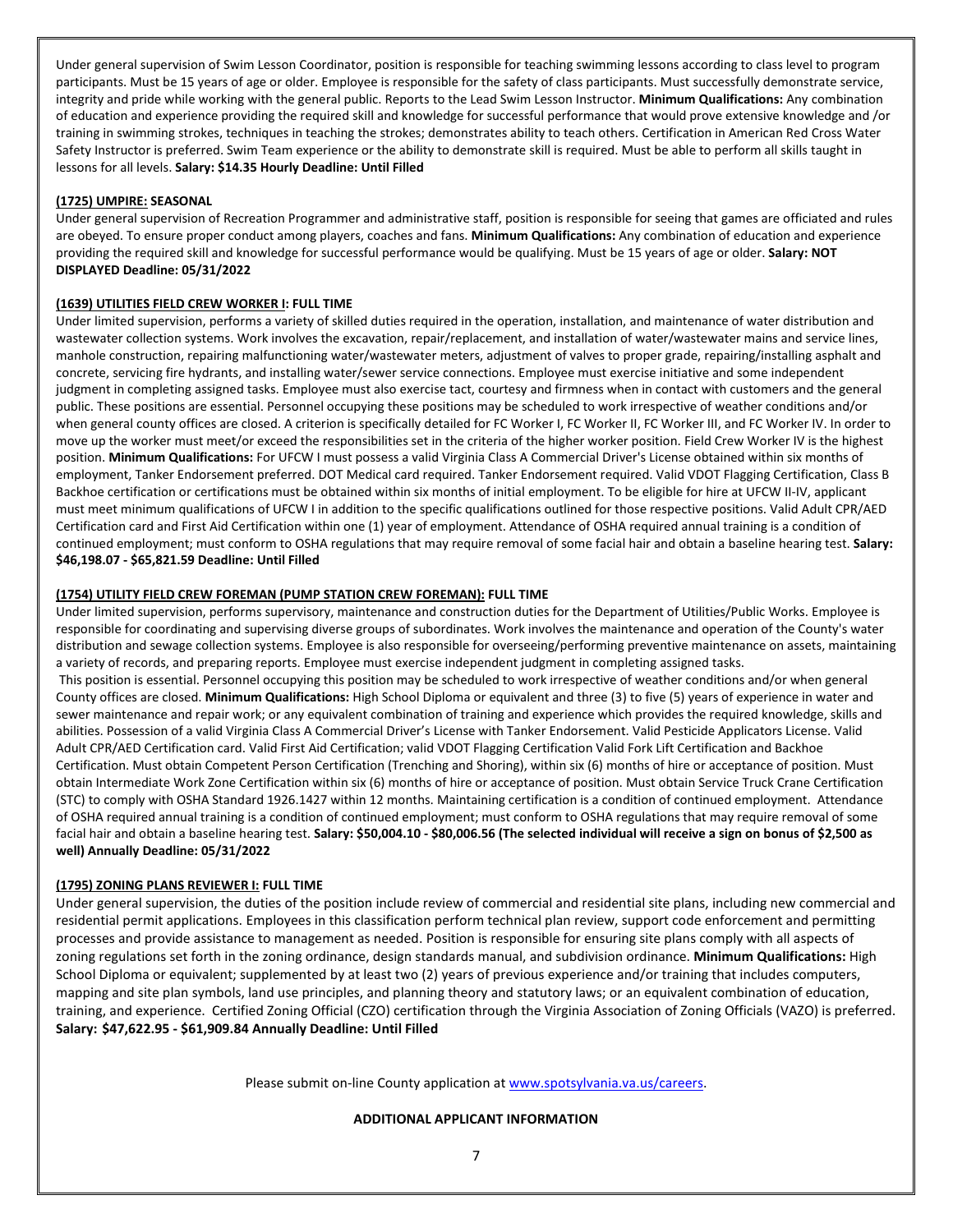Under general supervision of Swim Lesson Coordinator, position is responsible for teaching swimming lessons according to class level to program participants. Must be 15 years of age or older. Employee is responsible for the safety of class participants. Must successfully demonstrate service, integrity and pride while working with the general public. Reports to the Lead Swim Lesson Instructor. **Minimum Qualifications:** Any combination of education and experience providing the required skill and knowledge for successful performance that would prove extensive knowledge and /or training in swimming strokes, techniques in teaching the strokes; demonstrates ability to teach others. Certification in American Red Cross Water Safety Instructor is preferred. Swim Team experience or the ability to demonstrate skill is required. Must be able to perform all skills taught in lessons for all levels. **Salary: \$14.35 Hourly Deadline: Until Filled**

## **(1725) UMPIRE: SEASONAL**

Under general supervision of Recreation Programmer and administrative staff, position is responsible for seeing that games are officiated and rules are obeyed. To ensure proper conduct among players, coaches and fans. **Minimum Qualifications:** Any combination of education and experience providing the required skill and knowledge for successful performance would be qualifying. Must be 15 years of age or older. **Salary: NOT DISPLAYED Deadline: 05/31/2022**

## **(1639) UTILITIES FIELD CREW WORKER I: FULL TIME**

Under limited supervision, performs a variety of skilled duties required in the operation, installation, and maintenance of water distribution and wastewater collection systems. Work involves the excavation, repair/replacement, and installation of water/wastewater mains and service lines, manhole construction, repairing malfunctioning water/wastewater meters, adjustment of valves to proper grade, repairing/installing asphalt and concrete, servicing fire hydrants, and installing water/sewer service connections. Employee must exercise initiative and some independent judgment in completing assigned tasks. Employee must also exercise tact, courtesy and firmness when in contact with customers and the general public. These positions are essential. Personnel occupying these positions may be scheduled to work irrespective of weather conditions and/or when general county offices are closed. A criterion is specifically detailed for FC Worker I, FC Worker II, FC Worker III, and FC Worker IV. In order to move up the worker must meet/or exceed the responsibilities set in the criteria of the higher worker position. Field Crew Worker IV is the highest position. **Minimum Qualifications:** For UFCW I must possess a valid Virginia Class A Commercial Driver's License obtained within six months of employment, Tanker Endorsement preferred. DOT Medical card required. Tanker Endorsement required. Valid VDOT Flagging Certification, Class B Backhoe certification or certifications must be obtained within six months of initial employment. To be eligible for hire at UFCW II-IV, applicant must meet minimum qualifications of UFCW I in addition to the specific qualifications outlined for those respective positions. Valid Adult CPR/AED Certification card and First Aid Certification within one (1) year of employment. Attendance of OSHA required annual training is a condition of continued employment; must conform to OSHA regulations that may require removal of some facial hair and obtain a baseline hearing test. **Salary: \$46,198.07 - \$65,821.59 Deadline: Until Filled**

## **(1754) UTILITY FIELD CREW FOREMAN (PUMP STATION CREW FOREMAN): FULL TIME**

Under limited supervision, performs supervisory, maintenance and construction duties for the Department of Utilities/Public Works. Employee is responsible for coordinating and supervising diverse groups of subordinates. Work involves the maintenance and operation of the County's water distribution and sewage collection systems. Employee is also responsible for overseeing/performing preventive maintenance on assets, maintaining a variety of records, and preparing reports. Employee must exercise independent judgment in completing assigned tasks.

This position is essential. Personnel occupying this position may be scheduled to work irrespective of weather conditions and/or when general County offices are closed. **Minimum Qualifications:** High School Diploma or equivalent and three (3) to five (5) years of experience in water and sewer maintenance and repair work; or any equivalent combination of training and experience which provides the required knowledge, skills and abilities. Possession of a valid Virginia Class A Commercial Driver's License with Tanker Endorsement. Valid Pesticide Applicators License. Valid Adult CPR/AED Certification card. Valid First Aid Certification; valid VDOT Flagging Certification Valid Fork Lift Certification and Backhoe Certification. Must obtain Competent Person Certification (Trenching and Shoring), within six (6) months of hire or acceptance of position. Must obtain Intermediate Work Zone Certification within six (6) months of hire or acceptance of position. Must obtain Service Truck Crane Certification (STC) to comply with OSHA Standard 1926.1427 within 12 months. Maintaining certification is a condition of continued employment. Attendance of OSHA required annual training is a condition of continued employment; must conform to OSHA regulations that may require removal of some facial hair and obtain a baseline hearing test. **Salary: \$50,004.10 - \$80,006.56 (The selected individual will receive a sign on bonus of \$2,500 as well) Annually Deadline: 05/31/2022**

### **(1795) ZONING PLANS REVIEWER I: FULL TIME**

Under general supervision, the duties of the position include review of commercial and residential site plans, including new commercial and residential permit applications. Employees in this classification perform technical plan review, support code enforcement and permitting processes and provide assistance to management as needed. Position is responsible for ensuring site plans comply with all aspects of zoning regulations set forth in the zoning ordinance, design standards manual, and subdivision ordinance. **Minimum Qualifications:** High School Diploma or equivalent; supplemented by at least two (2) years of previous experience and/or training that includes computers, mapping and site plan symbols, land use principles, and planning theory and statutory laws; or an equivalent combination of education, training, and experience. Certified Zoning Official (CZO) certification through the Virginia Association of Zoning Officials (VAZO) is preferred. **Salary: \$47,622.95 - \$61,909.84 Annually Deadline: Until Filled**

Please submit on-line County application at [www.spotsylvania.va.us/careers.](http://www.spotsylvania.va.us/careers)

### **ADDITIONAL APPLICANT INFORMATION**